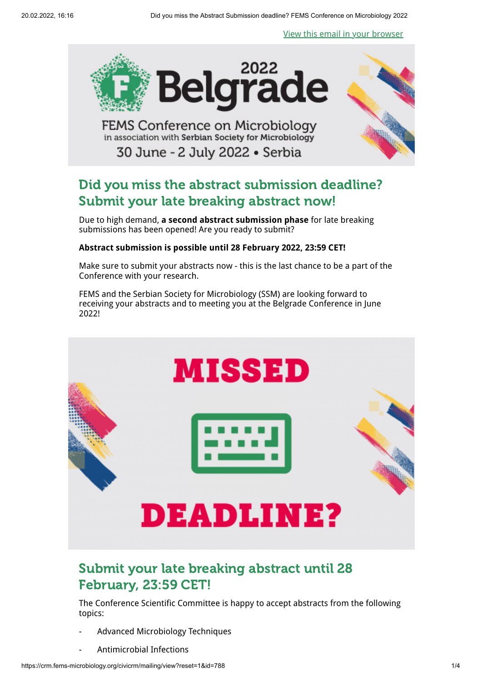[View this email in your browser](https://crm.fems-microbiology.org/civicrm/mailing/view?reset=1&id=788)



**FEMS Conference on Microbiology** in association with Serbian Society for Microbiology 30 June - 2 July 2022 · Serbia



# Did you miss the abstract submission deadline? Submit your late breaking abstract now!

Due to high demand, **a second abstract submission phase** for late breaking submissions has been opened! Are you ready to submit?

### **Abstract submission is possible until 28 February 2022, 23:59 CET!**

Make sure to submit your abstracts now - this is the last chance to be a part of the Conference with your research.

FEMS and the Serbian Society for Microbiology (SSM) are looking forward to receiving your abstracts and to meeting you at the Belgrade Conference in June 2022!



## Submit your late breaking abstract until 28 February, 23:59 CET!

The Conference Scientific Committee is happy to accept abstracts from the following topics:

- Advanced Microbiology Techniques
- Antimicrobial Infections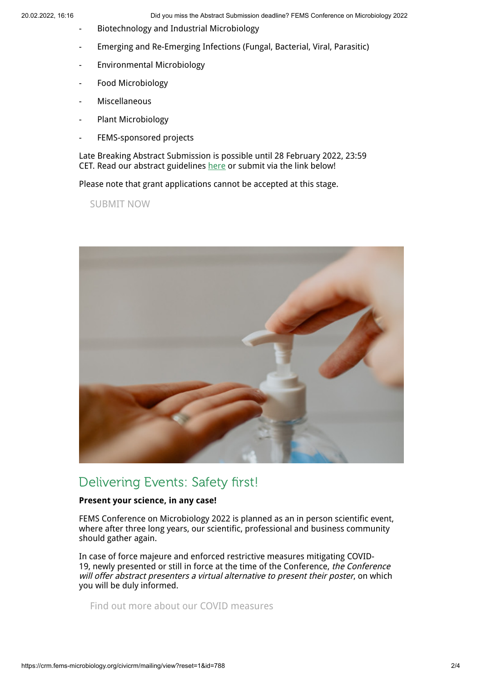- Biotechnology and Industrial Microbiology
- Emerging and Re-Emerging Infections (Fungal, Bacterial, Viral, Parasitic)
- Environmental Microbiology
- Food Microbiology
- Miscellaneous
- Plant Microbiology
- FEMS-sponsored projects

Late Breaking Abstract Submission is possible until 28 February 2022, 23:59 CET. Read our abstract guidelines [here](https://www.femsbelgrade2022.org/abstract-submission-guidelines) or submit via the link below!

Please note that grant applications cannot be accepted at this stage.

[SUBMIT NOW](https://crm.fems-microbiology.org/user/login)



## Delivering Events: Safety first!

### **Present your science, in any case!**

FEMS Conference on Microbiology 2022 is planned as an in person scientific event, where after three long years, our scientific, professional and business community should gather again.

In case of force majeure and enforced restrictive measures mitigating COVID-19, newly presented or still in force at the time of the Conference, the Conference will offer abstract presenters a virtual alternative to present their poster, on which you will be duly informed.

[Find out more about our COVID measures](https://www.femsbelgrade2022.org/covid-19-information)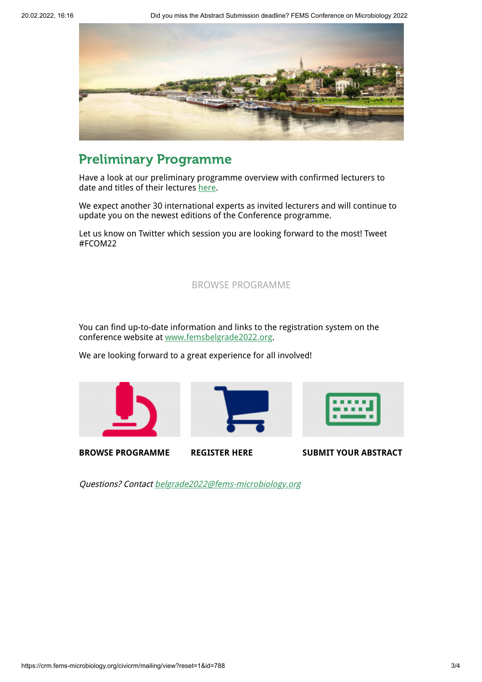

## Preliminary Programme

Have a look at our preliminary programme overview with confirmed lecturers to date and titles of their lectures [here.](https://www.femsbelgrade2022.org/programme-overview-speakers)

We expect another 30 international experts as invited lecturers and will continue to update you on the newest editions of the Conference programme.

Let us know on Twitter which session you are looking forward to the most! Tweet #FCOM22

### [BROWSE PROGRAMME](https://www.femsbelgrade2022.org/programme)

You can find up-to-date information and links to the registration system on the conference website at [www.femsbelgrade2022.org.](http://www.femsbelgrade2022.org/)

We are looking forward to a great experience for all involved!





Questions? Contact [belgrade2022@fems-microbiology.org](mailto:belgrade2022@fems-microbiology.org)